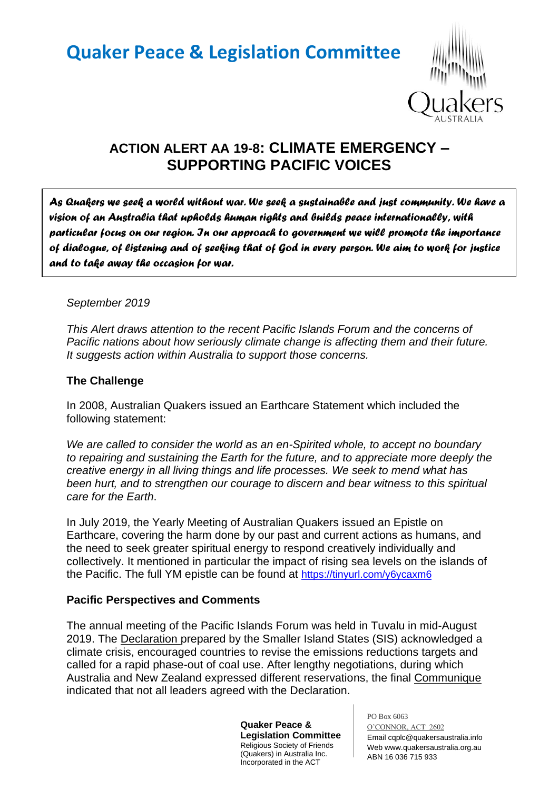# **Quaker Peace & Legislation Committee**



# **ACTION ALERT AA 19-8: CLIMATE EMERGENCY – SUPPORTING PACIFIC VOICES**

*As Quakers we seek a world without war. We seek a sustainable and just community. We have a vision of an Australia that upholds human rights and builds peace internationally, with particular focus on our region. In our approach to government we will promote the importance of dialogue, of listening and of seeking that of God in every person. We aim to work for justice and to take away the occasion for war.* 

#### *September 2019*

*This Alert draws attention to the recent Pacific Islands Forum and the concerns of Pacific nations about how seriously climate change is affecting them and their future. It suggests action within Australia to support those concerns.*

#### **The Challenge**

In 2008, Australian Quakers issued an Earthcare Statement which included the following statement:

*We are called to consider the world as an en-Spirited whole, to accept no boundary to repairing and sustaining the Earth for the future, and to appreciate more deeply the creative energy in all living things and life processes. We seek to mend what has been hurt, and to strengthen our courage to discern and bear witness to this spiritual care for the Earth*.

In July 2019, the Yearly Meeting of Australian Quakers issued an Epistle on Earthcare, covering the harm done by our past and current actions as humans, and the need to seek greater spiritual energy to respond creatively individually and collectively. It mentioned in particular the impact of rising sea levels on the islands of the Pacific. The full YM epistle can be found at <https://tinyurl.com/y6ycaxm6>

#### **Pacific Perspectives and Comments**

The annual meeting of the Pacific Islands Forum was held in Tuvalu in mid-August 2019. The Declaration prepared by the Smaller Island States (SIS) acknowledged a climate crisis, encouraged countries to revise the emissions reductions targets and called for a rapid phase-out of coal use. After lengthy negotiations, during which Australia and New Zealand expressed different reservations, the final Communique indicated that not all leaders agreed with the Declaration.

> **Quaker Peace & Legislation Committee** Religious Society of Friends (Quakers) in Australia Inc. Incorporated in the ACT

PO Box 6063 O'CONNOR, ACT 2602 Email cqplc@quakersaustralia.info Web www.quakersaustralia.org.au ABN 16 036 715 933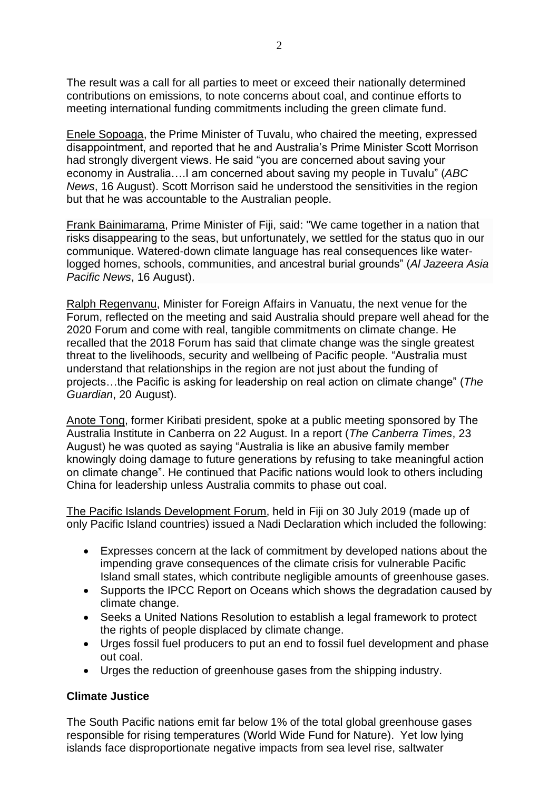The result was a call for all parties to meet or exceed their nationally determined contributions on emissions, to note concerns about coal, and continue efforts to meeting international funding commitments including the green climate fund.

Enele Sopoaga, the Prime Minister of Tuvalu, who chaired the meeting, expressed disappointment, and reported that he and Australia's Prime Minister Scott Morrison had strongly divergent views. He said "you are concerned about saving your economy in Australia….I am concerned about saving my people in Tuvalu" (*ABC News*, 16 August). Scott Morrison said he understood the sensitivities in the region but that he was accountable to the Australian people.

Frank Bainimarama, Prime Minister of Fiji, said: "We came together in a nation that risks disappearing to the seas, but unfortunately, we settled for the status quo in our communique. Watered-down climate language has real consequences like waterlogged homes, schools, communities, and ancestral burial grounds" (*Al Jazeera Asia Pacific News*, 16 August).

Ralph Regenvanu, Minister for Foreign Affairs in Vanuatu, the next venue for the Forum, reflected on the meeting and said Australia should prepare well ahead for the 2020 Forum and come with real, tangible commitments on climate change. He recalled that the 2018 Forum has said that climate change was the single greatest threat to the livelihoods, security and wellbeing of Pacific people. "Australia must understand that relationships in the region are not just about the funding of projects…the Pacific is asking for leadership on real action on climate change" (*The Guardian*, 20 August).

Anote Tong, former Kiribati president, spoke at a public meeting sponsored by The Australia Institute in Canberra on 22 August. In a report (*The Canberra Times*, 23 August) he was quoted as saying "Australia is like an abusive family member knowingly doing damage to future generations by refusing to take meaningful action on climate change". He continued that Pacific nations would look to others including China for leadership unless Australia commits to phase out coal.

The Pacific Islands Development Forum, held in Fiji on 30 July 2019 (made up of only Pacific Island countries) issued a Nadi Declaration which included the following:

- Expresses concern at the lack of commitment by developed nations about the impending grave consequences of the climate crisis for vulnerable Pacific Island small states, which contribute negligible amounts of greenhouse gases.
- Supports the IPCC Report on Oceans which shows the degradation caused by climate change.
- Seeks a United Nations Resolution to establish a legal framework to protect the rights of people displaced by climate change.
- Urges fossil fuel producers to put an end to fossil fuel development and phase out coal.
- Urges the reduction of greenhouse gases from the shipping industry.

#### **Climate Justice**

The South Pacific nations emit far below 1% of the total global greenhouse gases responsible for rising temperatures (World Wide Fund for Nature). Yet low lying islands face disproportionate negative impacts from sea level rise, saltwater